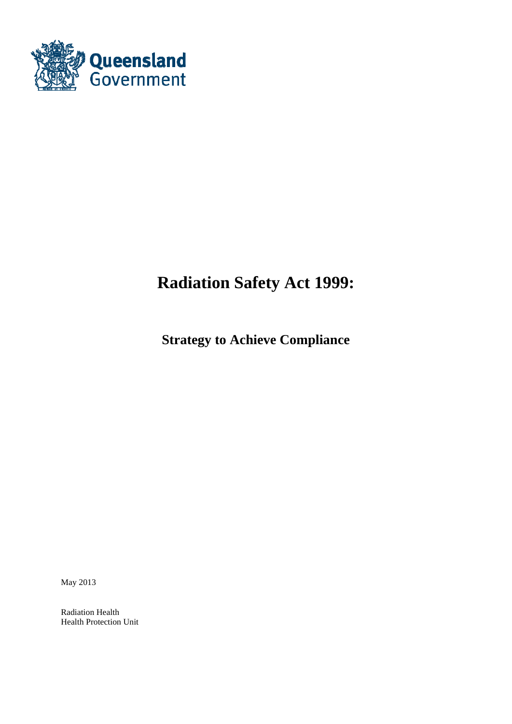

# **Radiation Safety Act 1999:**

**Strategy to Achieve Compliance** 

May 2013

Radiation Health Health Protection Unit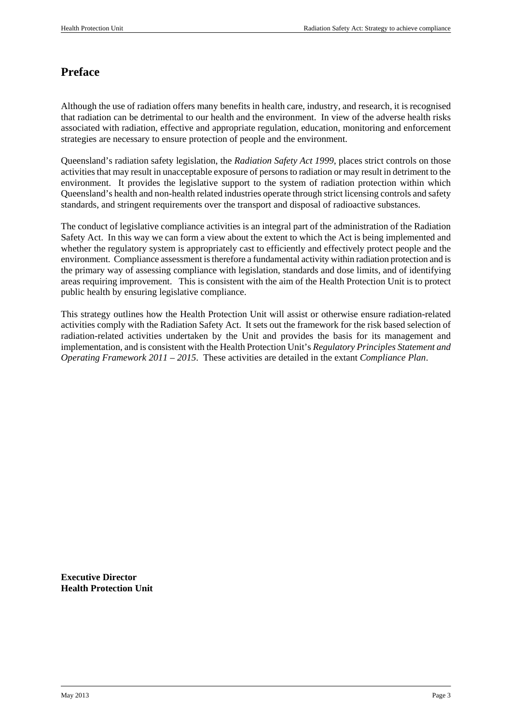# **Preface**

Although the use of radiation offers many benefits in health care, industry, and research, it is recognised that radiation can be detrimental to our health and the environment. In view of the adverse health risks associated with radiation, effective and appropriate regulation, education, monitoring and enforcement strategies are necessary to ensure protection of people and the environment.

Queensland's radiation safety legislation, the *Radiation Safety Act 1999*, places strict controls on those activities that may result in unacceptable exposure of persons to radiation or may result in detriment to the environment. It provides the legislative support to the system of radiation protection within which Queensland's health and non-health related industries operate through strict licensing controls and safety standards, and stringent requirements over the transport and disposal of radioactive substances.

The conduct of legislative compliance activities is an integral part of the administration of the Radiation Safety Act. In this way we can form a view about the extent to which the Act is being implemented and whether the regulatory system is appropriately cast to efficiently and effectively protect people and the environment. Compliance assessment is therefore a fundamental activity within radiation protection and is the primary way of assessing compliance with legislation, standards and dose limits, and of identifying areas requiring improvement. This is consistent with the aim of the Health Protection Unit is to protect public health by ensuring legislative compliance.

This strategy outlines how the Health Protection Unit will assist or otherwise ensure radiation-related activities comply with the Radiation Safety Act. It sets out the framework for the risk based selection of radiation-related activities undertaken by the Unit and provides the basis for its management and implementation, and is consistent with the Health Protection Unit's *Regulatory Principles Statement and Operating Framework 2011 – 2015*. These activities are detailed in the extant *Compliance Plan*.

**Executive Director Health Protection Unit**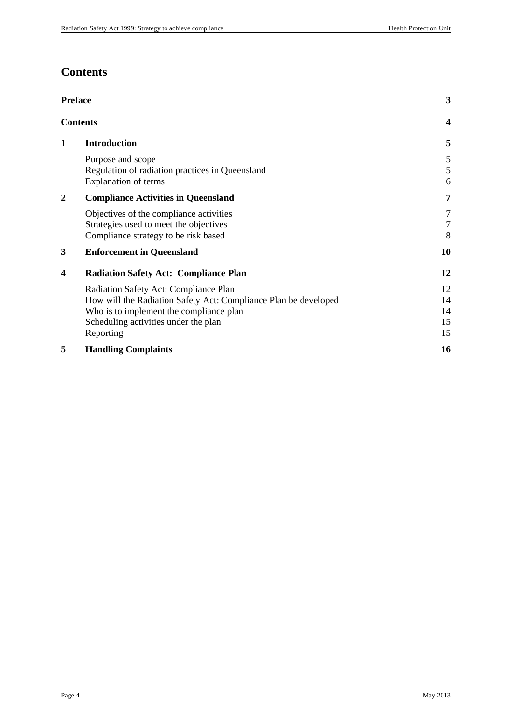# **Contents**

| <b>Preface</b> |                                                                                                                                                                                                          |                            |  |  |
|----------------|----------------------------------------------------------------------------------------------------------------------------------------------------------------------------------------------------------|----------------------------|--|--|
|                | <b>Contents</b>                                                                                                                                                                                          | $\overline{\mathbf{4}}$    |  |  |
| $\mathbf{1}$   | <b>Introduction</b>                                                                                                                                                                                      | 5                          |  |  |
|                | Purpose and scope<br>Regulation of radiation practices in Queensland<br>Explanation of terms                                                                                                             | 5<br>$\mathfrak s$<br>6    |  |  |
| 2              | <b>Compliance Activities in Queensland</b>                                                                                                                                                               | 7                          |  |  |
|                | Objectives of the compliance activities<br>Strategies used to meet the objectives<br>Compliance strategy to be risk based                                                                                | 7<br>$\tau$<br>8           |  |  |
| 3              | <b>Enforcement in Queensland</b>                                                                                                                                                                         | 10                         |  |  |
| 4              | <b>Radiation Safety Act: Compliance Plan</b>                                                                                                                                                             | 12                         |  |  |
|                | Radiation Safety Act: Compliance Plan<br>How will the Radiation Safety Act: Compliance Plan be developed<br>Who is to implement the compliance plan<br>Scheduling activities under the plan<br>Reporting | 12<br>14<br>14<br>15<br>15 |  |  |
| 5              | <b>Handling Complaints</b>                                                                                                                                                                               | 16                         |  |  |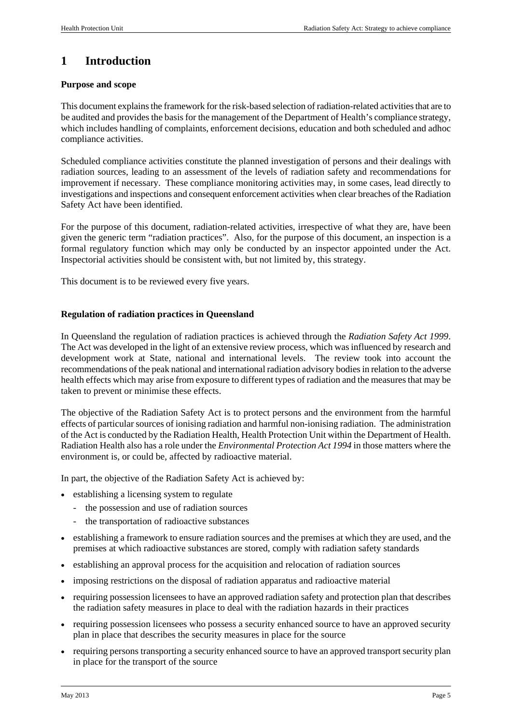# **1 Introduction**

## **Purpose and scope**

This document explains the framework for the risk-based selection of radiation-related activities that are to be audited and provides the basis for the management of the Department of Health's compliance strategy, which includes handling of complaints, enforcement decisions, education and both scheduled and adhoc compliance activities.

Scheduled compliance activities constitute the planned investigation of persons and their dealings with radiation sources, leading to an assessment of the levels of radiation safety and recommendations for improvement if necessary. These compliance monitoring activities may, in some cases, lead directly to investigations and inspections and consequent enforcement activities when clear breaches of the Radiation Safety Act have been identified.

For the purpose of this document, radiation-related activities, irrespective of what they are, have been given the generic term "radiation practices". Also, for the purpose of this document, an inspection is a formal regulatory function which may only be conducted by an inspector appointed under the Act. Inspectorial activities should be consistent with, but not limited by, this strategy.

This document is to be reviewed every five years.

## **Regulation of radiation practices in Queensland**

In Queensland the regulation of radiation practices is achieved through the *Radiation Safety Act 1999*. The Act was developed in the light of an extensive review process, which was influenced by research and development work at State, national and international levels. The review took into account the recommendations of the peak national and international radiation advisory bodies in relation to the adverse health effects which may arise from exposure to different types of radiation and the measures that may be taken to prevent or minimise these effects.

The objective of the Radiation Safety Act is to protect persons and the environment from the harmful effects of particular sources of ionising radiation and harmful non-ionising radiation. The administration of the Act is conducted by the Radiation Health, Health Protection Unit within the Department of Health. Radiation Health also has a role under the *Environmental Protection Act 1994* in those matters where the environment is, or could be, affected by radioactive material.

In part, the objective of the Radiation Safety Act is achieved by:

- establishing a licensing system to regulate
	- the possession and use of radiation sources
	- the transportation of radioactive substances
- establishing a framework to ensure radiation sources and the premises at which they are used, and the premises at which radioactive substances are stored, comply with radiation safety standards
- establishing an approval process for the acquisition and relocation of radiation sources
- imposing restrictions on the disposal of radiation apparatus and radioactive material
- requiring possession licensees to have an approved radiation safety and protection plan that describes the radiation safety measures in place to deal with the radiation hazards in their practices
- requiring possession licensees who possess a security enhanced source to have an approved security plan in place that describes the security measures in place for the source
- requiring persons transporting a security enhanced source to have an approved transport security plan in place for the transport of the source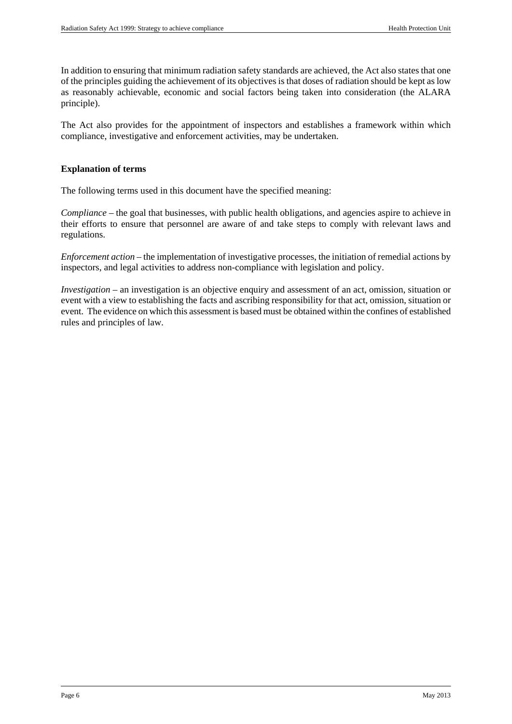In addition to ensuring that minimum radiation safety standards are achieved, the Act also states that one of the principles guiding the achievement of its objectives is that doses of radiation should be kept as low as reasonably achievable, economic and social factors being taken into consideration (the ALARA principle).

The Act also provides for the appointment of inspectors and establishes a framework within which compliance, investigative and enforcement activities, may be undertaken.

#### **Explanation of terms**

The following terms used in this document have the specified meaning:

*Compliance* – the goal that businesses, with public health obligations, and agencies aspire to achieve in their efforts to ensure that personnel are aware of and take steps to comply with relevant laws and regulations.

*Enforcement action* – the implementation of investigative processes, the initiation of remedial actions by inspectors, and legal activities to address non-compliance with legislation and policy.

*Investigation* – an investigation is an objective enquiry and assessment of an act, omission, situation or event with a view to establishing the facts and ascribing responsibility for that act, omission, situation or event. The evidence on which this assessment is based must be obtained within the confines of established rules and principles of law.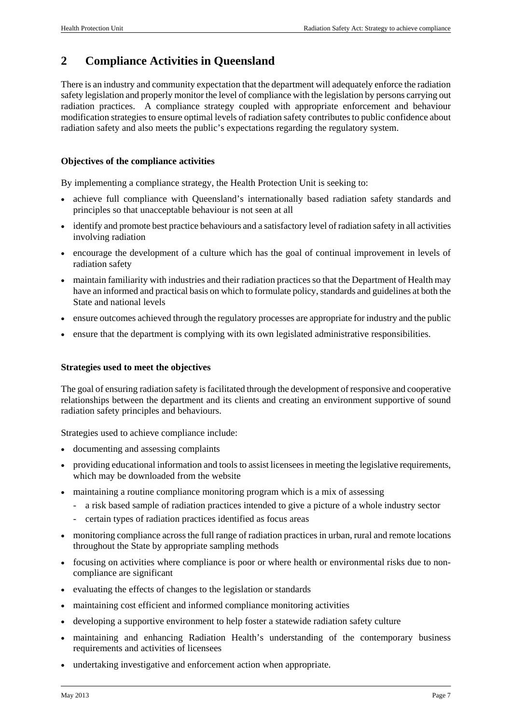# **2 Compliance Activities in Queensland**

There is an industry and community expectation that the department will adequately enforce the radiation safety legislation and properly monitor the level of compliance with the legislation by persons carrying out radiation practices. A compliance strategy coupled with appropriate enforcement and behaviour modification strategies to ensure optimal levels of radiation safety contributes to public confidence about radiation safety and also meets the public's expectations regarding the regulatory system.

### **Objectives of the compliance activities**

By implementing a compliance strategy, the Health Protection Unit is seeking to:

- achieve full compliance with Queensland's internationally based radiation safety standards and principles so that unacceptable behaviour is not seen at all
- identify and promote best practice behaviours and a satisfactory level of radiation safety in all activities involving radiation
- encourage the development of a culture which has the goal of continual improvement in levels of radiation safety
- maintain familiarity with industries and their radiation practices so that the Department of Health may have an informed and practical basis on which to formulate policy, standards and guidelines at both the State and national levels
- ensure outcomes achieved through the regulatory processes are appropriate for industry and the public
- ensure that the department is complying with its own legislated administrative responsibilities.

### **Strategies used to meet the objectives**

The goal of ensuring radiation safety is facilitated through the development of responsive and cooperative relationships between the department and its clients and creating an environment supportive of sound radiation safety principles and behaviours.

Strategies used to achieve compliance include:

- documenting and assessing complaints
- providing educational information and tools to assist licensees in meeting the legislative requirements, which may be downloaded from the website
- maintaining a routine compliance monitoring program which is a mix of assessing
	- a risk based sample of radiation practices intended to give a picture of a whole industry sector
	- certain types of radiation practices identified as focus areas
- monitoring compliance across the full range of radiation practices in urban, rural and remote locations throughout the State by appropriate sampling methods
- focusing on activities where compliance is poor or where health or environmental risks due to noncompliance are significant
- evaluating the effects of changes to the legislation or standards
- maintaining cost efficient and informed compliance monitoring activities
- developing a supportive environment to help foster a statewide radiation safety culture
- maintaining and enhancing Radiation Health's understanding of the contemporary business requirements and activities of licensees
- undertaking investigative and enforcement action when appropriate.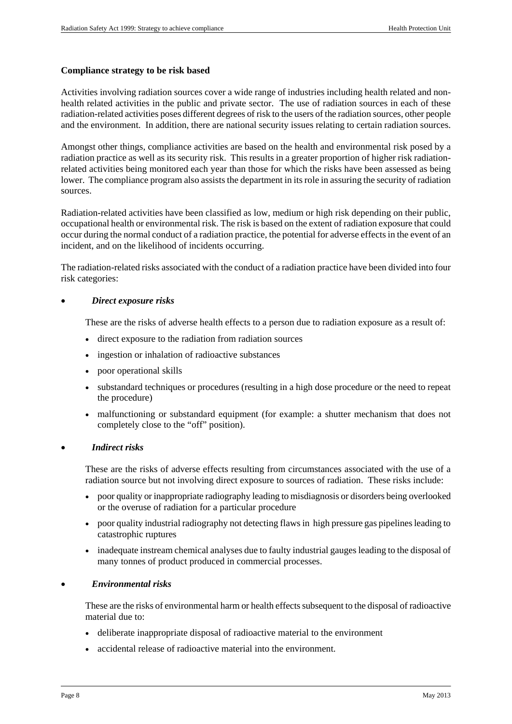#### **Compliance strategy to be risk based**

Activities involving radiation sources cover a wide range of industries including health related and nonhealth related activities in the public and private sector. The use of radiation sources in each of these radiation-related activities poses different degrees of risk to the users of the radiation sources, other people and the environment. In addition, there are national security issues relating to certain radiation sources.

Amongst other things, compliance activities are based on the health and environmental risk posed by a radiation practice as well as its security risk. This results in a greater proportion of higher risk radiationrelated activities being monitored each year than those for which the risks have been assessed as being lower. The compliance program also assists the department in its role in assuring the security of radiation sources.

Radiation-related activities have been classified as low, medium or high risk depending on their public, occupational health or environmental risk. The risk is based on the extent of radiation exposure that could occur during the normal conduct of a radiation practice, the potential for adverse effects in the event of an incident, and on the likelihood of incidents occurring.

The radiation-related risks associated with the conduct of a radiation practice have been divided into four risk categories:

#### *Direct exposure risks*

These are the risks of adverse health effects to a person due to radiation exposure as a result of:

- direct exposure to the radiation from radiation sources
- ingestion or inhalation of radioactive substances
- poor operational skills
- substandard techniques or procedures (resulting in a high dose procedure or the need to repeat the procedure)
- malfunctioning or substandard equipment (for example: a shutter mechanism that does not completely close to the "off" position).

#### *Indirect risks*

These are the risks of adverse effects resulting from circumstances associated with the use of a radiation source but not involving direct exposure to sources of radiation. These risks include:

- poor quality or inappropriate radiography leading to misdiagnosis or disorders being overlooked or the overuse of radiation for a particular procedure
- poor quality industrial radiography not detecting flaws in high pressure gas pipelines leading to catastrophic ruptures
- inadequate instream chemical analyses due to faulty industrial gauges leading to the disposal of many tonnes of product produced in commercial processes.

#### *Environmental risks*

These are the risks of environmental harm or health effects subsequent to the disposal of radioactive material due to:

- deliberate inappropriate disposal of radioactive material to the environment
- accidental release of radioactive material into the environment.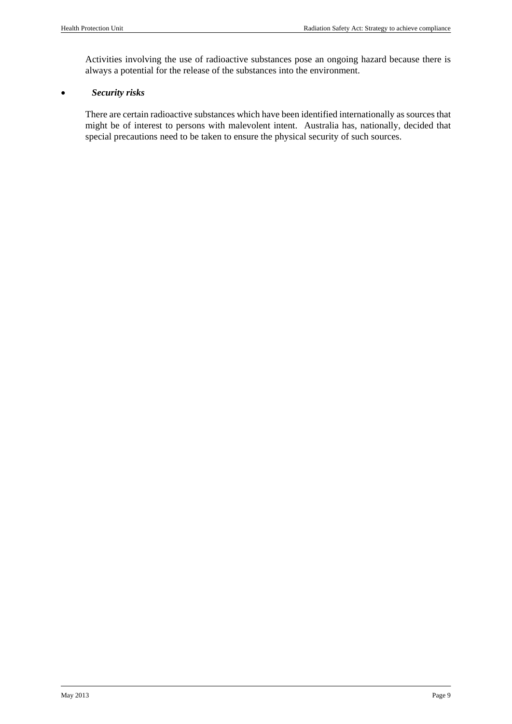Activities involving the use of radioactive substances pose an ongoing hazard because there is always a potential for the release of the substances into the environment.

## *Security risks*

There are certain radioactive substances which have been identified internationally as sources that might be of interest to persons with malevolent intent. Australia has, nationally, decided that special precautions need to be taken to ensure the physical security of such sources.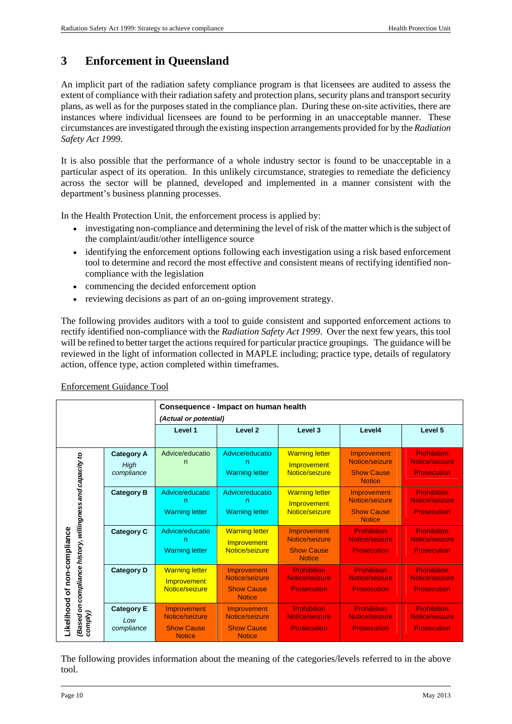# **3 Enforcement in Queensland**

An implicit part of the radiation safety compliance program is that licensees are audited to assess the extent of compliance with their radiation safety and protection plans, security plans and transport security plans, as well as for the purposes stated in the compliance plan. During these on-site activities, there are instances where individual licensees are found to be performing in an unacceptable manner. These circumstances are investigated through the existing inspection arrangements provided for by the *Radiation Safety Act 1999*.

It is also possible that the performance of a whole industry sector is found to be unacceptable in a particular aspect of its operation. In this unlikely circumstance, strategies to remediate the deficiency across the sector will be planned, developed and implemented in a manner consistent with the department's business planning processes.

In the Health Protection Unit, the enforcement process is applied by:

- investigating non-compliance and determining the level of risk of the matter which is the subject of the complaint/audit/other intelligence source
- identifying the enforcement options following each investigation using a risk based enforcement tool to determine and record the most effective and consistent means of rectifying identified noncompliance with the legislation
- commencing the decided enforcement option
- reviewing decisions as part of an on-going improvement strategy.

The following provides auditors with a tool to guide consistent and supported enforcement actions to rectify identified non-compliance with the *Radiation Safety Act 1999*. Over the next few years, this tool will be refined to better target the actions required for particular practice groupings. The guidance will be reviewed in the light of information collected in MAPLE including; practice type, details of regulatory action, offence type, action completed within timeframes.

|                                                 |                          | Consequence - Impact on human health |                                      |                                      |                                      |                                      |
|-------------------------------------------------|--------------------------|--------------------------------------|--------------------------------------|--------------------------------------|--------------------------------------|--------------------------------------|
|                                                 |                          | (Actual or potential)                |                                      |                                      |                                      |                                      |
|                                                 |                          | Level 1                              | Level <sub>2</sub>                   | Level 3                              | Level4                               | Level 5                              |
|                                                 | <b>Category A</b>        | Advice/educatio                      | Advice/educatio                      | <b>Warning letter</b>                | Improvement<br>Notice/seizure        | <b>Prohibition</b><br>Notice/seizure |
| compliance history, willingness and capacity to | High<br>compliance       |                                      | <b>Warning letter</b>                | Improvement<br>Notice/seizure        | <b>Show Cause</b><br><b>Notice</b>   | <b>Prosecution</b>                   |
|                                                 | <b>Category B</b>        | Advice/educatio<br>n                 | Advice/educatio<br>n                 | <b>Warning letter</b><br>Improvement | Improvement<br>Notice/seizure        | <b>Prohibition</b><br>Notice/seizure |
|                                                 |                          | <b>Warning letter</b>                | <b>Warning letter</b>                | Notice/seizure                       | <b>Show Cause</b><br><b>Notice</b>   | <b>Prosecution</b>                   |
|                                                 | <b>Category C</b>        | Advice/educatio<br>n                 | <b>Warning letter</b><br>Improvement | Improvement<br>Notice/seizure        | <b>Prohibition</b><br>Notice/seizure | <b>Prohibition</b><br>Notice/seizure |
|                                                 |                          | <b>Warning letter</b>                | Notice/seizure                       | <b>Show Cause</b><br><b>Notice</b>   | <b>Prosecution</b>                   | <b>Prosecution</b>                   |
| of non-compliance                               | <b>Category D</b>        | <b>Warning letter</b><br>Improvement | Improvement<br>Notice/seizure        | <b>Prohibition</b><br>Notice/seizure | <b>Prohibition</b><br>Notice/seizure | <b>Prohibition</b><br>Notice/seizure |
|                                                 |                          | Notice/seizure                       | <b>Show Cause</b><br><b>Notice</b>   | <b>Prosecution</b>                   | <b>Prosecution</b>                   | <b>Prosecution</b>                   |
| Likelihood<br>(Based on d<br>comply)            | <b>Category E</b><br>Low | Improvement<br>Notice/seizure        | Improvement<br>Notice/seizure        | <b>Prohibition</b><br>Notice/seizure | <b>Prohibition</b><br>Notice/seizure | <b>Prohibition</b><br>Notice/seizure |
|                                                 | compliance               | <b>Show Cause</b><br><b>Notice</b>   | <b>Show Cause</b><br><b>Notice</b>   | <b>Prosecution</b>                   | <b>Prosecution</b>                   | <b>Prosecution</b>                   |

### Enforcement Guidance Tool

The following provides information about the meaning of the categories/levels referred to in the above tool.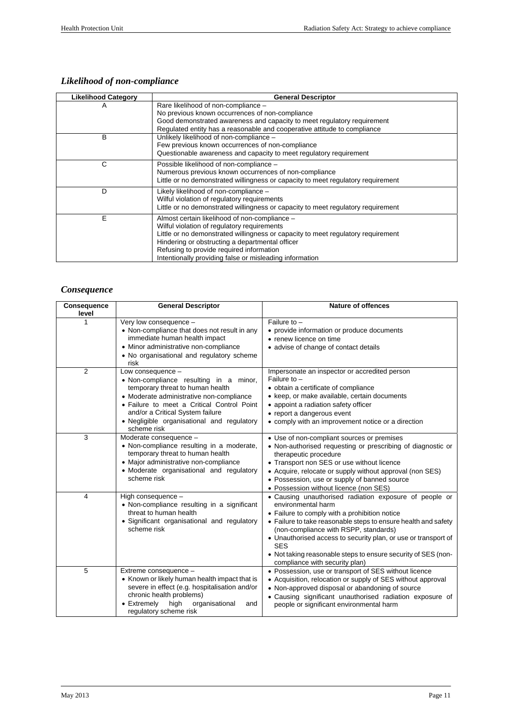# *Likelihood of non-compliance*

| <b>Likelihood Category</b> | <b>General Descriptor</b>                                                                                                                                                                                                                                                                                                                  |  |  |
|----------------------------|--------------------------------------------------------------------------------------------------------------------------------------------------------------------------------------------------------------------------------------------------------------------------------------------------------------------------------------------|--|--|
| A                          | Rare likelihood of non-compliance -<br>No previous known occurrences of non-compliance<br>Good demonstrated awareness and capacity to meet regulatory requirement<br>Regulated entity has a reasonable and cooperative attitude to compliance                                                                                              |  |  |
| B                          | Unlikely likelihood of non-compliance -<br>Few previous known occurrences of non-compliance<br>Questionable awareness and capacity to meet regulatory requirement                                                                                                                                                                          |  |  |
| С                          | Possible likelihood of non-compliance -<br>Numerous previous known occurrences of non-compliance<br>Little or no demonstrated willingness or capacity to meet regulatory requirement                                                                                                                                                       |  |  |
| D                          | Likely likelihood of non-compliance -<br>Wilful violation of regulatory requirements<br>Little or no demonstrated willingness or capacity to meet regulatory requirement                                                                                                                                                                   |  |  |
| F                          | Almost certain likelihood of non-compliance -<br>Wilful violation of regulatory requirements<br>Little or no demonstrated willingness or capacity to meet regulatory requirement<br>Hindering or obstructing a departmental officer<br>Refusing to provide required information<br>Intentionally providing false or misleading information |  |  |

# *Consequence*

| <b>Consequence</b><br>level | <b>General Descriptor</b>                                                                                                                                                                                                                                                                  | <b>Nature of offences</b>                                                                                                                                                                                                                                                                                                                                                                                                   |
|-----------------------------|--------------------------------------------------------------------------------------------------------------------------------------------------------------------------------------------------------------------------------------------------------------------------------------------|-----------------------------------------------------------------------------------------------------------------------------------------------------------------------------------------------------------------------------------------------------------------------------------------------------------------------------------------------------------------------------------------------------------------------------|
|                             | Very low consequence -<br>• Non-compliance that does not result in any<br>immediate human health impact<br>• Minor administrative non-compliance<br>• No organisational and regulatory scheme<br>risk                                                                                      | Failure to $-$<br>• provide information or produce documents<br>• renew licence on time<br>• advise of change of contact details                                                                                                                                                                                                                                                                                            |
| 2                           | Low consequence -<br>• Non-compliance resulting in a minor,<br>temporary threat to human health<br>• Moderate administrative non-compliance<br>• Failure to meet a Critical Control Point<br>and/or a Critical System failure<br>· Negligible organisational and regulatory<br>scheme risk | Impersonate an inspector or accredited person<br>Failure to -<br>• obtain a certificate of compliance<br>• keep, or make available, certain documents<br>• appoint a radiation safety officer<br>• report a dangerous event<br>• comply with an improvement notice or a direction                                                                                                                                           |
| 3                           | Moderate consequence -<br>• Non-compliance resulting in a moderate,<br>temporary threat to human health<br>• Major administrative non-compliance<br>• Moderate organisational and regulatory<br>scheme risk                                                                                | • Use of non-compliant sources or premises<br>• Non-authorised requesting or prescribing of diagnostic or<br>therapeutic procedure<br>• Transport non SES or use without licence<br>• Acquire, relocate or supply without approval (non SES)<br>• Possession, use or supply of banned source<br>• Possession without licence (non SES)                                                                                      |
| 4                           | High consequence -<br>• Non-compliance resulting in a significant<br>threat to human health<br>· Significant organisational and regulatory<br>scheme risk                                                                                                                                  | • Causing unauthorised radiation exposure of people or<br>environmental harm<br>• Failure to comply with a prohibition notice<br>• Failure to take reasonable steps to ensure health and safety<br>(non-compliance with RSPP, standards)<br>• Unauthorised access to security plan, or use or transport of<br><b>SES</b><br>• Not taking reasonable steps to ensure security of SES (non-<br>compliance with security plan) |
| 5                           | Extreme consequence -<br>• Known or likely human health impact that is<br>severe in effect (e.g. hospitalisation and/or<br>chronic health problems)<br>• Extremely<br>high<br>organisational<br>and<br>regulatory scheme risk                                                              | • Possession, use or transport of SES without licence<br>• Acquisition, relocation or supply of SES without approval<br>• Non-approved disposal or abandoning of source<br>• Causing significant unauthorised radiation exposure of<br>people or significant environmental harm                                                                                                                                             |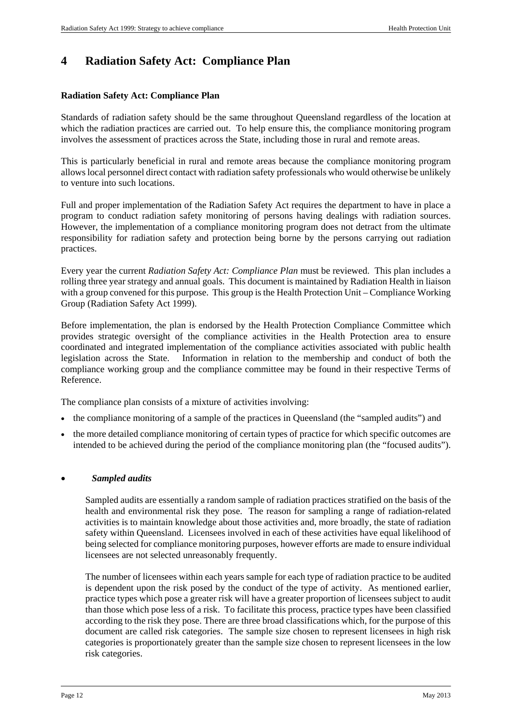# **4 Radiation Safety Act: Compliance Plan**

### **Radiation Safety Act: Compliance Plan**

Standards of radiation safety should be the same throughout Queensland regardless of the location at which the radiation practices are carried out. To help ensure this, the compliance monitoring program involves the assessment of practices across the State, including those in rural and remote areas.

This is particularly beneficial in rural and remote areas because the compliance monitoring program allows local personnel direct contact with radiation safety professionals who would otherwise be unlikely to venture into such locations.

Full and proper implementation of the Radiation Safety Act requires the department to have in place a program to conduct radiation safety monitoring of persons having dealings with radiation sources. However, the implementation of a compliance monitoring program does not detract from the ultimate responsibility for radiation safety and protection being borne by the persons carrying out radiation practices.

Every year the current *Radiation Safety Act: Compliance Plan* must be reviewed. This plan includes a rolling three year strategy and annual goals. This document is maintained by Radiation Health in liaison with a group convened for this purpose. This group is the Health Protection Unit – Compliance Working Group (Radiation Safety Act 1999).

Before implementation, the plan is endorsed by the Health Protection Compliance Committee which provides strategic oversight of the compliance activities in the Health Protection area to ensure coordinated and integrated implementation of the compliance activities associated with public health legislation across the State. Information in relation to the membership and conduct of both the compliance working group and the compliance committee may be found in their respective Terms of Reference.

The compliance plan consists of a mixture of activities involving:

- the compliance monitoring of a sample of the practices in Queensland (the "sampled audits") and
- the more detailed compliance monitoring of certain types of practice for which specific outcomes are intended to be achieved during the period of the compliance monitoring plan (the "focused audits").

#### *Sampled audits*

Sampled audits are essentially a random sample of radiation practices stratified on the basis of the health and environmental risk they pose. The reason for sampling a range of radiation-related activities is to maintain knowledge about those activities and, more broadly, the state of radiation safety within Queensland. Licensees involved in each of these activities have equal likelihood of being selected for compliance monitoring purposes, however efforts are made to ensure individual licensees are not selected unreasonably frequently.

The number of licensees within each years sample for each type of radiation practice to be audited is dependent upon the risk posed by the conduct of the type of activity. As mentioned earlier, practice types which pose a greater risk will have a greater proportion of licensees subject to audit than those which pose less of a risk. To facilitate this process, practice types have been classified according to the risk they pose. There are three broad classifications which, for the purpose of this document are called risk categories. The sample size chosen to represent licensees in high risk categories is proportionately greater than the sample size chosen to represent licensees in the low risk categories.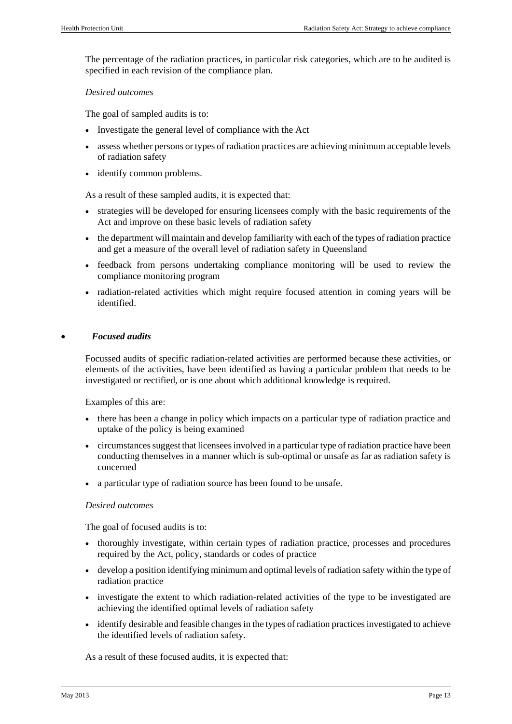The percentage of the radiation practices, in particular risk categories, which are to be audited is specified in each revision of the compliance plan.

#### *Desired outcomes*

The goal of sampled audits is to:

- Investigate the general level of compliance with the Act
- assess whether persons or types of radiation practices are achieving minimum acceptable levels of radiation safety
- identify common problems.

As a result of these sampled audits, it is expected that:

- strategies will be developed for ensuring licensees comply with the basic requirements of the Act and improve on these basic levels of radiation safety
- the department will maintain and develop familiarity with each of the types of radiation practice and get a measure of the overall level of radiation safety in Queensland
- feedback from persons undertaking compliance monitoring will be used to review the compliance monitoring program
- radiation-related activities which might require focused attention in coming years will be identified.

### *Focused audits*

Focussed audits of specific radiation-related activities are performed because these activities, or elements of the activities, have been identified as having a particular problem that needs to be investigated or rectified, or is one about which additional knowledge is required.

Examples of this are:

- there has been a change in policy which impacts on a particular type of radiation practice and uptake of the policy is being examined
- circumstances suggest that licensees involved in a particular type of radiation practice have been conducting themselves in a manner which is sub-optimal or unsafe as far as radiation safety is concerned
- a particular type of radiation source has been found to be unsafe.

#### *Desired outcomes*

The goal of focused audits is to:

- thoroughly investigate, within certain types of radiation practice, processes and procedures required by the Act, policy, standards or codes of practice
- develop a position identifying minimum and optimal levels of radiation safety within the type of radiation practice
- investigate the extent to which radiation-related activities of the type to be investigated are achieving the identified optimal levels of radiation safety
- identify desirable and feasible changes in the types of radiation practices investigated to achieve the identified levels of radiation safety.

As a result of these focused audits, it is expected that: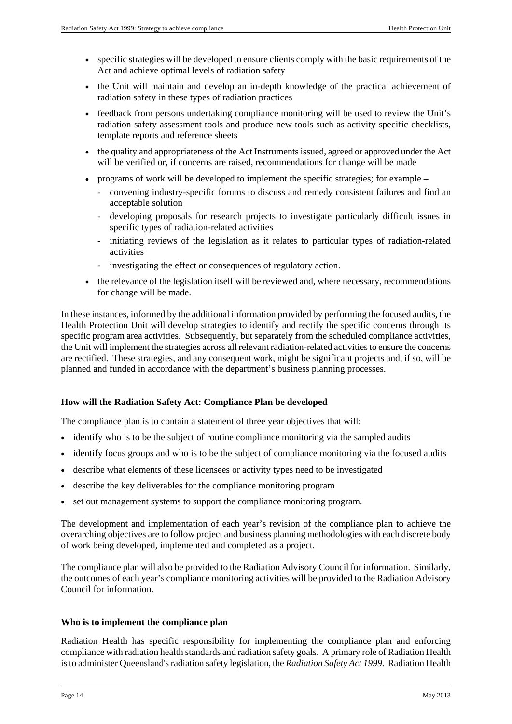- specific strategies will be developed to ensure clients comply with the basic requirements of the Act and achieve optimal levels of radiation safety
- the Unit will maintain and develop an in-depth knowledge of the practical achievement of radiation safety in these types of radiation practices
- feedback from persons undertaking compliance monitoring will be used to review the Unit's radiation safety assessment tools and produce new tools such as activity specific checklists, template reports and reference sheets
- the quality and appropriateness of the Act Instruments issued, agreed or approved under the Act will be verified or, if concerns are raised, recommendations for change will be made
- programs of work will be developed to implement the specific strategies; for example
	- convening industry-specific forums to discuss and remedy consistent failures and find an acceptable solution
	- developing proposals for research projects to investigate particularly difficult issues in specific types of radiation-related activities
	- initiating reviews of the legislation as it relates to particular types of radiation-related activities
	- investigating the effect or consequences of regulatory action.
- the relevance of the legislation itself will be reviewed and, where necessary, recommendations for change will be made.

In these instances, informed by the additional information provided by performing the focused audits, the Health Protection Unit will develop strategies to identify and rectify the specific concerns through its specific program area activities. Subsequently, but separately from the scheduled compliance activities, the Unit will implement the strategies across all relevant radiation-related activities to ensure the concerns are rectified. These strategies, and any consequent work, might be significant projects and, if so, will be planned and funded in accordance with the department's business planning processes.

#### **How will the Radiation Safety Act: Compliance Plan be developed**

The compliance plan is to contain a statement of three year objectives that will:

- identify who is to be the subject of routine compliance monitoring via the sampled audits
- identify focus groups and who is to be the subject of compliance monitoring via the focused audits
- describe what elements of these licensees or activity types need to be investigated
- describe the key deliverables for the compliance monitoring program
- set out management systems to support the compliance monitoring program.

The development and implementation of each year's revision of the compliance plan to achieve the overarching objectives are to follow project and business planning methodologies with each discrete body of work being developed, implemented and completed as a project.

The compliance plan will also be provided to the Radiation Advisory Council for information. Similarly, the outcomes of each year's compliance monitoring activities will be provided to the Radiation Advisory Council for information.

#### **Who is to implement the compliance plan**

Radiation Health has specific responsibility for implementing the compliance plan and enforcing compliance with radiation health standards and radiation safety goals. A primary role of Radiation Health is to administer Queensland's radiation safety legislation, the *Radiation Safety Act 1999*. Radiation Health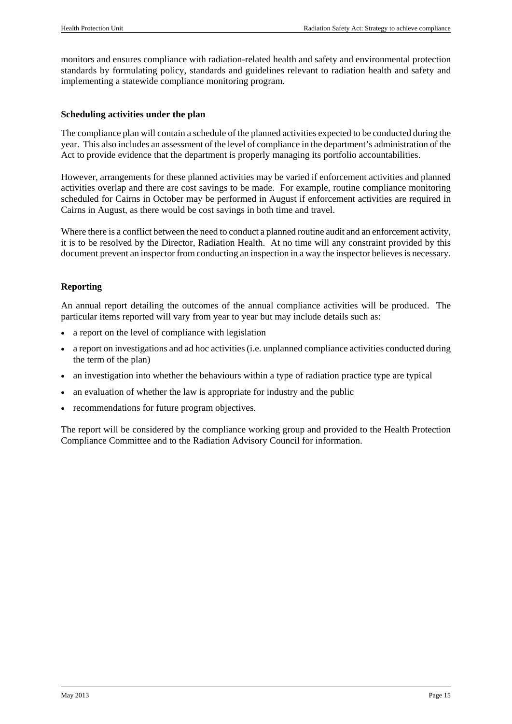monitors and ensures compliance with radiation-related health and safety and environmental protection standards by formulating policy, standards and guidelines relevant to radiation health and safety and implementing a statewide compliance monitoring program.

### **Scheduling activities under the plan**

The compliance plan will contain a schedule of the planned activities expected to be conducted during the year. This also includes an assessment of the level of compliance in the department's administration of the Act to provide evidence that the department is properly managing its portfolio accountabilities.

However, arrangements for these planned activities may be varied if enforcement activities and planned activities overlap and there are cost savings to be made. For example, routine compliance monitoring scheduled for Cairns in October may be performed in August if enforcement activities are required in Cairns in August, as there would be cost savings in both time and travel.

Where there is a conflict between the need to conduct a planned routine audit and an enforcement activity, it is to be resolved by the Director, Radiation Health. At no time will any constraint provided by this document prevent an inspector from conducting an inspection in a way the inspector believes is necessary.

### **Reporting**

An annual report detailing the outcomes of the annual compliance activities will be produced. The particular items reported will vary from year to year but may include details such as:

- a report on the level of compliance with legislation
- a report on investigations and ad hoc activities (i.e. unplanned compliance activities conducted during the term of the plan)
- an investigation into whether the behaviours within a type of radiation practice type are typical
- an evaluation of whether the law is appropriate for industry and the public
- recommendations for future program objectives.

The report will be considered by the compliance working group and provided to the Health Protection Compliance Committee and to the Radiation Advisory Council for information.